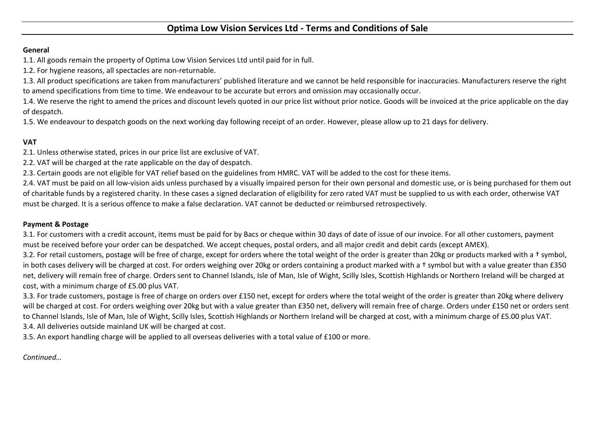# **Optima Low Vision Services Ltd - Terms and Conditions of Sale**

### **General**

1.1. All goods remain the property of Optima Low Vision Services Ltd until paid for in full.

1.2. For hygiene reasons, all spectacles are non-returnable.

1.4. We reserve the right to amend the prices and discount levels quoted in our price list without prior notice. Goods will be invoiced at the price applicable on the day of despatch.

1.3. All product specifications are taken from manufacturers' published literature and we cannot be held responsible for inaccuracies. Manufacturers reserve the right to amend specifications from time to time. We endeavour to be accurate but errors and omission may occasionally occur.

1.5. We endeavour to despatch goods on the next working day following receipt of an order. However, please allow up to 21 days for delivery.

2.4. VAT must be paid on all low-vision aids unless purchased by a visually impaired person for their own personal and domestic use, or is being purchased for them out of charitable funds by a registered charity. In these cases a signed declaration of eligibility for zero rated VAT must be supplied to us with each order, otherwise VAT must be charged. It is a serious offence to make a false declaration. VAT cannot be deducted or reimbursed retrospectively.

## **VAT**

2.1. Unless otherwise stated, prices in our price list are exclusive of VAT.

2.2. VAT will be charged at the rate applicable on the day of despatch.

2.3. Certain goods are not eligible for VAT relief based on the guidelines from HMRC. VAT will be added to the cost for these items.

3.3. For trade customers, postage is free of charge on orders over £150 net, except for orders where the total weight of the order is greater than 20kg where delivery will be charged at cost. For orders weighing over 20kg but with a value greater than £350 net, delivery will remain free of charge. Orders under £150 net or orders sent to Channel Islands, Isle of Man, Isle of Wight, Scilly Isles, Scottish Highlands or Northern Ireland will be charged at cost, with a minimum charge of £5.00 plus VAT. 3.4. All deliveries outside mainland UK will be charged at cost.

## **Payment & Postage**

3.1. For customers with a credit account, items must be paid for by Bacs or cheque within 30 days of date of issue of our invoice. For all other customers, payment must be received before your order can be despatched. We accept cheques, postal orders, and all major credit and debit cards (except AMEX). 3.2. For retail customers, postage will be free of charge, except for orders where the total weight of the order is greater than 20kg or products marked with a † symbol, in both cases delivery will be charged at cost. For orders weighing over 20kg or orders containing a product marked with a † symbol but with a value greater than £350 net, delivery will remain free of charge. Orders sent to Channel Islands, Isle of Man, Isle of Wight, Scilly Isles, Scottish Highlands or Northern Ireland will be charged at cost, with a minimum charge of £5.00 plus VAT.

3.5. An export handling charge will be applied to all overseas deliveries with a total value of £100 or more.

*Continued…*